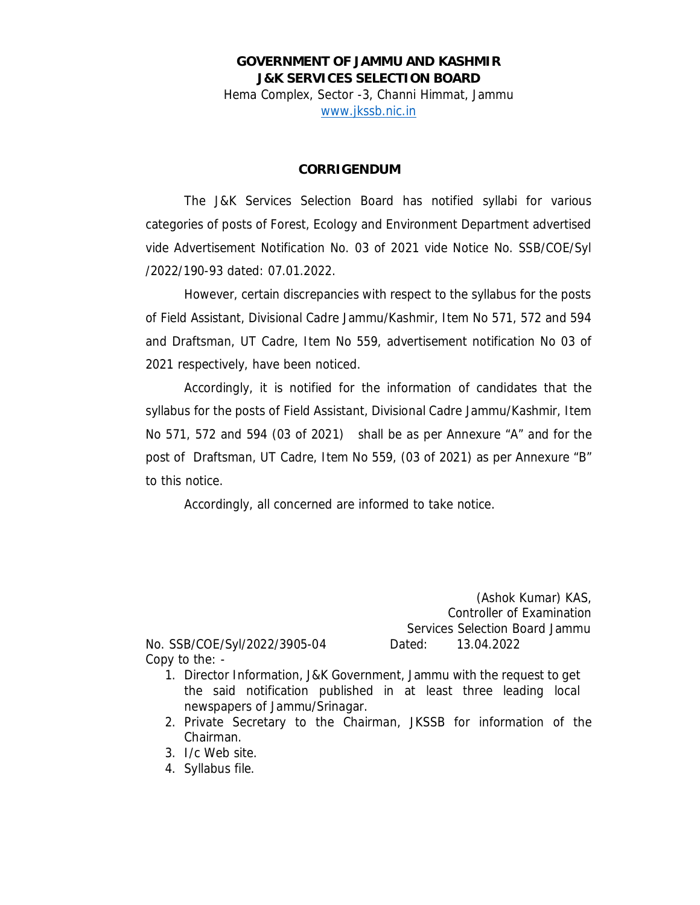**GOVERNMENT OF JAMMU AND KASHMIR J&K SERVICES SELECTION BOARD**  Hema Complex, Sector -3, Channi Himmat, Jammu www.jkssb.nic.in

## **CORRIGENDUM**

The J&K Services Selection Board has notified syllabi for various categories of posts of Forest, Ecology and Environment Department advertised vide Advertisement Notification No. 03 of 2021 vide Notice No. SSB/COE/Syl /2022/190-93 dated: 07.01.2022.

However, certain discrepancies with respect to the syllabus for the posts of Field Assistant, Divisional Cadre Jammu/Kashmir, Item No 571, 572 and 594 and Draftsman, UT Cadre, Item No 559, advertisement notification No 03 of 2021 respectively, have been noticed.

Accordingly, it is notified for the information of candidates that the syllabus for the posts of Field Assistant, Divisional Cadre Jammu/Kashmir, Item No 571, 572 and 594 (03 of 2021) shall be as per Annexure "A" and for the post of Draftsman, UT Cadre, Item No 559, (03 of 2021) as per Annexure "B" to this notice.

Accordingly, all concerned are informed to take notice.

 (Ashok Kumar) KAS, Controller of Examination Services Selection Board Jammu No. SSB/COE/Syl/2022/3905-04 Dated: 13.04.2022

- Copy to the: 1. Director Information, J&K Government, Jammu with the request to get the said notification published in at least three leading local newspapers of Jammu/Srinagar.
	- 2. Private Secretary to the Chairman, JKSSB for information of the Chairman.
	- 3. I/c Web site.
	- 4. Syllabus file.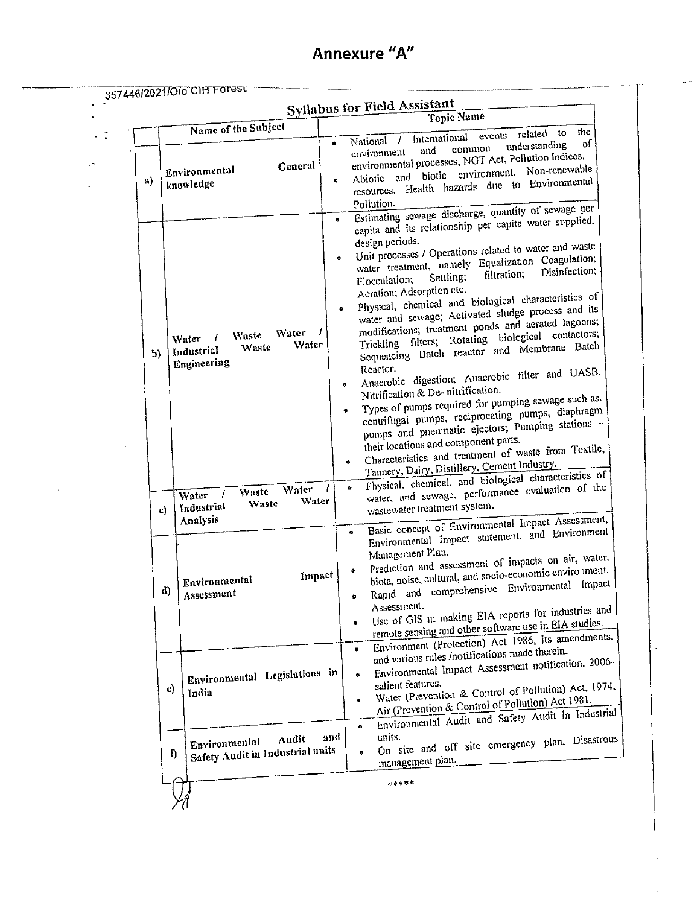|  |    | 357446/2021/O/o CIH Forest                                                 | <b>Syllabus for Field Assistant</b><br><b>Topic Name</b>                                                                                                                                                                                                                                                                                                                                                                                                                                                                                                                                                                                                                                                                                                                                                                                                                                                                                                                                                                                                                                         |
|--|----|----------------------------------------------------------------------------|--------------------------------------------------------------------------------------------------------------------------------------------------------------------------------------------------------------------------------------------------------------------------------------------------------------------------------------------------------------------------------------------------------------------------------------------------------------------------------------------------------------------------------------------------------------------------------------------------------------------------------------------------------------------------------------------------------------------------------------------------------------------------------------------------------------------------------------------------------------------------------------------------------------------------------------------------------------------------------------------------------------------------------------------------------------------------------------------------|
|  |    | Name of the Subject                                                        | the<br>related to                                                                                                                                                                                                                                                                                                                                                                                                                                                                                                                                                                                                                                                                                                                                                                                                                                                                                                                                                                                                                                                                                |
|  | a) | General<br>Environmental<br>knowledge                                      | / International events<br>National<br>оſ<br>$\bullet$<br>understanding<br>common<br>and<br>environment<br>environmental processes, NGT Act, Pollution Indices.<br>biotic environment. Non-renewable<br>Abiotic and<br>ę.<br>resources. Health hazards due to Environmental<br>Pollution.<br>Estimating sewage discharge, quantity of sewage per                                                                                                                                                                                                                                                                                                                                                                                                                                                                                                                                                                                                                                                                                                                                                  |
|  | b) | Water<br>Waste<br>Water<br>Water<br>Waste<br>Industrial<br>Engineering     | $\bullet$<br>capita and its relationship per capita water supplied.<br>design periods.<br>Unit processes / Operations related to water and waste<br>water treatment, namely Equalization Coagulation;<br>$\bullet$<br>Disinfection;<br>filtration;<br>Settling;<br>Flocculation;<br>Aeration; Adsorption etc.<br>Physical, chemical and biological characteristics of<br>water and sewage; Activated sludge process and its<br>۰<br>modifications; treatment ponds and aerated lagoons;<br>Trickling filters; Rotating biological contactors;<br>Sequencing Batch reactor and Membrane Batch<br>Reactor.<br>Anaerobic digestion; Anaerobic filter and UASB.<br>۰<br>Nitrification & De-nitrification.<br>Types of pumps required for pumping sewage such as.<br>centrifugal pumps, reciprocating pumps, diaphragm<br>$\bullet$<br>pumps and pneumatic ejectors; Pumping stations -<br>their locations and component parts.<br>Characteristics and treatment of waste from Textile,<br>۰<br>Tannery, Dairy, Distillery, Cement Industry,<br>Physical, chemical, and biological characteristics of |
|  | c) | Water<br>Waste<br>Water<br>Water<br>Waste<br>Industrial<br>Analysis        | water, and sewage, performance evaluation of the<br>7<br>Ō.<br>wastewater treatment system.<br>Basic concept of Environmental Impact Assessment,                                                                                                                                                                                                                                                                                                                                                                                                                                                                                                                                                                                                                                                                                                                                                                                                                                                                                                                                                 |
|  | d) | Impact<br>Environmental<br>Assessment                                      | Environmental Impact statement, and Environment<br>$\bullet$<br>Management Plan.<br>Prediction and assessment of impacts on air, water,<br>biota, noise, cultural, and socio-economic environment.<br>Rapid and comprehensive Environmental Impact<br>Assessment.<br>Use of GIS in making EIA reports for industries and<br>remote sensing and other software use in EIA studies.<br>$\bullet$<br>Environment (Protection) Act 1986, its amendments.                                                                                                                                                                                                                                                                                                                                                                                                                                                                                                                                                                                                                                             |
|  | c) | Environmental Legislations in<br>India                                     | $\bullet$<br>and various rules /notifications made therein.<br>Environmental Impact Assessment notification, 2006-<br>۰<br>salient features.<br>Water (Prevention & Control of Pollution) Act, 1974,<br>Air (Prevention & Control of Pollution) Act 1981.<br>$\bullet$<br>Environmental Audit and Safety Audit in Industrial<br>$\bullet$                                                                                                                                                                                                                                                                                                                                                                                                                                                                                                                                                                                                                                                                                                                                                        |
|  |    | Audit<br>Environmental<br>Safety Audit in Industrial units<br>$\mathbf{D}$ | units.<br>and<br>On site and off site emergency plan, Disastrous<br>$\bullet$<br>management plan.                                                                                                                                                                                                                                                                                                                                                                                                                                                                                                                                                                                                                                                                                                                                                                                                                                                                                                                                                                                                |
|  |    |                                                                            | *****                                                                                                                                                                                                                                                                                                                                                                                                                                                                                                                                                                                                                                                                                                                                                                                                                                                                                                                                                                                                                                                                                            |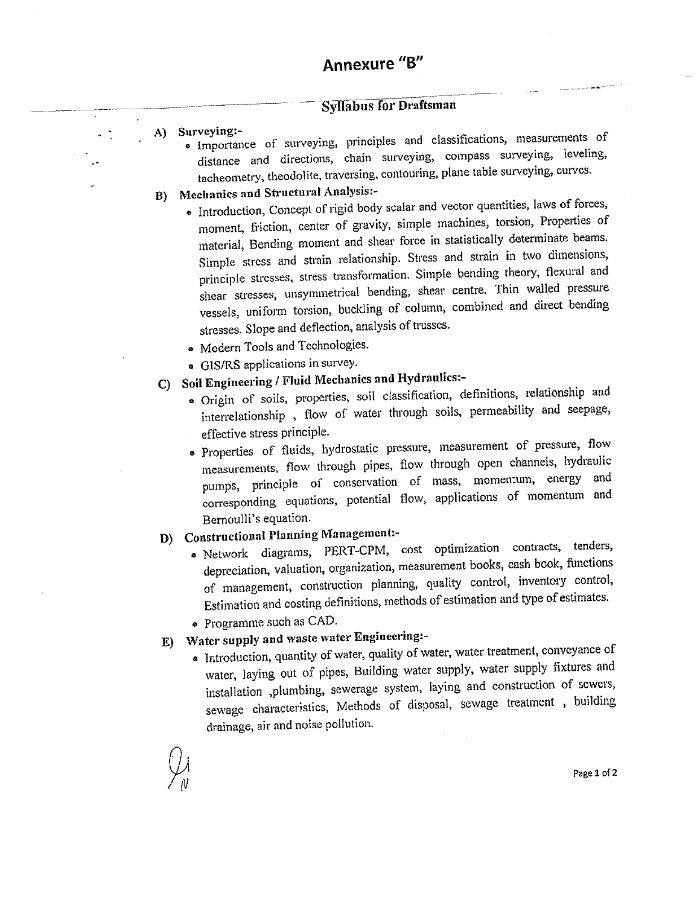## Annexure "B"

## **Syllabus for Draftsman**

- A) Surveying:-
	- · Importance of surveying, principles and classifications, measurements of distance and directions, chain surveying, compass surveying, leveling, tacheometry, theodolite, traversing, contouring, plane table surveying, curves.
- B) Mechanics and Structural Analysis:-
	- . Introduction, Concept of rigid body scalar and vector quantities, laws of forces, moment, friction, center of gravity, simple machines, torsion, Properties of material, Bending moment and shear force in statistically determinate beams. Simple stress and strain relationship. Stress and strain in two dimensions, principle stresses, stress transformation. Simple bending theory, flexural and shear stresses, unsymmetrical bending, shear centre. Thin walled pressure vessels, uniform torsion, buckling of column, combined and direct bending stresses. Slope and deflection, analysis of trusses.
	- Modern Tools and Technologies.
	- GIS/RS applications in survey.
- C) Soil Engineering / Fluid Mechanics and Hydraulics:-
	- · Origin of soils, properties, soil classification, definitions, relationship and interrelationship, flow of water through soils, permeability and seepage, effective stress principle.
	- · Properties of fluids, hydrostatic pressure, measurement of pressure, flow measurements, flow through pipes, flow through open channels, hydraulic pumps, principle of conservation of mass, momentum, energy and corresponding equations, potential flow, applications of momentum and Bernoulli's equation.
- D) Constructional Planning Management:-
	- · Network diagrams, PERT-CPM, cost optimization contracts, tenders, depreciation, valuation, organization, measurement books, cash book, functions of management, construction planning, quality control, inventory control, Estimation and costing definitions, methods of estimation and type of estimates.
	- Programme such as CAD.
- E) Water supply and waste water Engineering:-
	- · Introduction, quantity of water, quality of water, water treatment, conveyance of water, laying out of pipes, Building water supply, water supply fixtures and installation ,plumbing, sewerage system, laying and construction of sewers, sewage characteristics, Methods of disposal, sewage treatment, building drainage, air and noise pollution.

Page 1 of 2